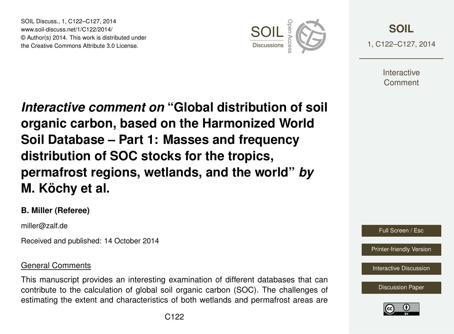SOIL Discuss., 1, C122–C127, 2014 www.soil-discuss.net/1/C122/2014/ © Author(s) 2014. This work is distributed under SOIL Discuss., 1, C122–C127, 2014<br>www.soil-discuss.net/1/C122/2014/<br>
© Author(s) 2014. This work is distributed under<br>
the Creative Commons Attribute 3.0 License.



**[SOIL](http://www.soil-discuss.net)** 1, C122–C127, 2014

> **Interactive** Comment

*Interactive comment on* **"Global distribution of soil organic carbon, based on the Harmonized World Soil Database – Part 1: Masses and frequency distribution of SOC stocks for the tropics, permafrost regions, wetlands, and the world"** *by* **M. Köchy et al.**

## **B. Miller (Referee)**

miller@zalf.de

Received and published: 14 October 2014

## General Comments

This manuscript provides an interesting examination of different databases that can contribute to the calculation of global soil organic carbon (SOC). The challenges of estimating the extent and characteristics of both wetlands and permafrost areas are



[Printer-friendly Version](http://www.soil-discuss.net/1/C122/2014/soild-1-C122-2014-print.pdf)

[Interactive Discussion](http://www.soil-discuss.net/1/327/2014/soild-1-327-2014-discussion.html)

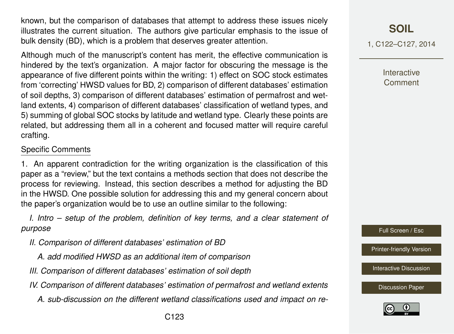known, but the comparison of databases that attempt to address these issues nicely illustrates the current situation. The authors give particular emphasis to the issue of bulk density (BD), which is a problem that deserves greater attention.

Although much of the manuscript's content has merit, the effective communication is hindered by the text's organization. A major factor for obscuring the message is the appearance of five different points within the writing: 1) effect on SOC stock estimates from 'correcting' HWSD values for BD, 2) comparison of different databases' estimation of soil depths, 3) comparison of different databases' estimation of permafrost and wetland extents, 4) comparison of different databases' classification of wetland types, and 5) summing of global SOC stocks by latitude and wetland type. Clearly these points are related, but addressing them all in a coherent and focused matter will require careful crafting.

## Specific Comments

1. An apparent contradiction for the writing organization is the classification of this paper as a "review," but the text contains a methods section that does not describe the process for reviewing. Instead, this section describes a method for adjusting the BD in the HWSD. One possible solution for addressing this and my general concern about the paper's organization would be to use an outline similar to the following:

*I. Intro – setup of the problem, definition of key terms, and a clear statement of purpose*

- *II. Comparison of different databases' estimation of BD*
	- *A. add modified HWSD as an additional item of comparison*
- *III. Comparison of different databases' estimation of soil depth*
- *IV. Comparison of different databases' estimation of permafrost and wetland extents*
	- *A. sub-discussion on the different wetland classifications used and impact on re-*

1, C122–C127, 2014

**Interactive** Comment

Full Screen / Esc

[Printer-friendly Version](http://www.soil-discuss.net/1/C122/2014/soild-1-C122-2014-print.pdf)

[Interactive Discussion](http://www.soil-discuss.net/1/327/2014/soild-1-327-2014-discussion.html)

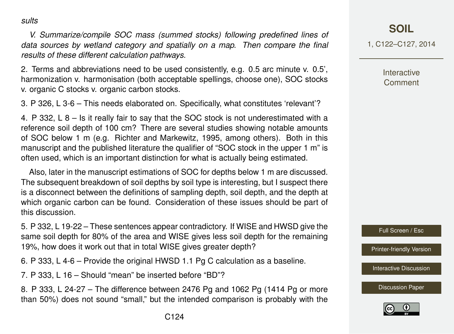*sults*

*V. Summarize/compile SOC mass (summed stocks) following predefined lines of data sources by wetland category and spatially on a map. Then compare the final results of these different calculation pathways.*

2. Terms and abbreviations need to be used consistently, e.g. 0.5 arc minute v. 0.5', harmonization v. harmonisation (both acceptable spellings, choose one), SOC stocks v. organic C stocks v. organic carbon stocks.

3. P 326, L 3-6 – This needs elaborated on. Specifically, what constitutes 'relevant'?

4. P 332, L 8 – Is it really fair to say that the SOC stock is not underestimated with a reference soil depth of 100 cm? There are several studies showing notable amounts of SOC below 1 m (e.g. Richter and Markewitz, 1995, among others). Both in this manuscript and the published literature the qualifier of "SOC stock in the upper 1 m" is often used, which is an important distinction for what is actually being estimated.

Also, later in the manuscript estimations of SOC for depths below 1 m are discussed. The subsequent breakdown of soil depths by soil type is interesting, but I suspect there is a disconnect between the definitions of sampling depth, soil depth, and the depth at which organic carbon can be found. Consideration of these issues should be part of this discussion.

5. P 332, L 19-22 – These sentences appear contradictory. If WISE and HWSD give the same soil depth for 80% of the area and WISE gives less soil depth for the remaining 19%, how does it work out that in total WISE gives greater depth?

6. P 333, L 4-6 – Provide the original HWSD 1.1 Pg C calculation as a baseline.

7. P 333, L 16 – Should "mean" be inserted before "BD"?

8. P 333, L 24-27 – The difference between 2476 Pg and 1062 Pg (1414 Pg or more than 50%) does not sound "small," but the intended comparison is probably with the **[SOIL](http://www.soil-discuss.net)**

1, C122–C127, 2014

**Interactive** Comment

Full Screen / Esc

[Printer-friendly Version](http://www.soil-discuss.net/1/C122/2014/soild-1-C122-2014-print.pdf)

**[Interactive Discussion](http://www.soil-discuss.net/1/327/2014/soild-1-327-2014-discussion.html)** 

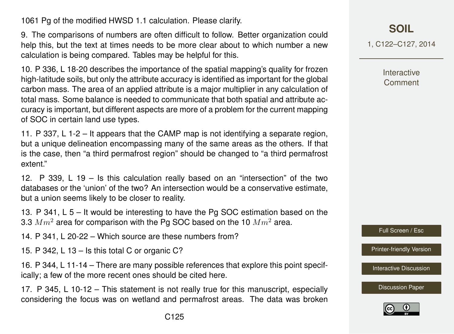1061 Pg of the modified HWSD 1.1 calculation. Please clarify.

9. The comparisons of numbers are often difficult to follow. Better organization could help this, but the text at times needs to be more clear about to which number a new calculation is being compared. Tables may be helpful for this.

10. P 336, L 18-20 describes the importance of the spatial mapping's quality for frozen high-latitude soils, but only the attribute accuracy is identified as important for the global carbon mass. The area of an applied attribute is a major multiplier in any calculation of total mass. Some balance is needed to communicate that both spatial and attribute accuracy is important, but different aspects are more of a problem for the current mapping of SOC in certain land use types.

11. P 337, L 1-2 – It appears that the CAMP map is not identifying a separate region, but a unique delineation encompassing many of the same areas as the others. If that is the case, then "a third permafrost region" should be changed to "a third permafrost extent."

12. P 339, L 19 – Is this calculation really based on an "intersection" of the two databases or the 'union' of the two? An intersection would be a conservative estimate, but a union seems likely to be closer to reality.

13. P 341, L 5 – It would be interesting to have the Pg SOC estimation based on the 3.3  $Mm^2$  area for comparison with the Pg SOC based on the 10  $Mm^2$  area.

14. P 341, L 20-22 – Which source are these numbers from?

15. P 342, L 13 – Is this total C or organic C?

16. P 344, L 11-14 – There are many possible references that explore this point specifically; a few of the more recent ones should be cited here.

17. P 345, L 10-12 – This statement is not really true for this manuscript, especially considering the focus was on wetland and permafrost areas. The data was broken 1, C122–C127, 2014

Interactive Comment

Full Screen / Esc

[Printer-friendly Version](http://www.soil-discuss.net/1/C122/2014/soild-1-C122-2014-print.pdf)

**[Interactive Discussion](http://www.soil-discuss.net/1/327/2014/soild-1-327-2014-discussion.html)** 

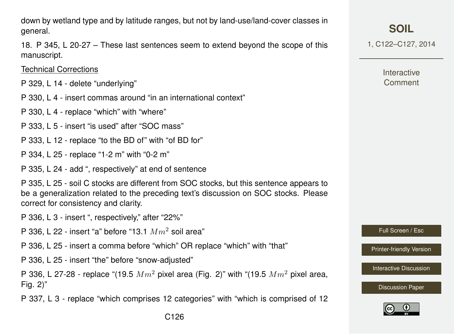down by wetland type and by latitude ranges, but not by land-use/land-cover classes in general.

18. P 345, L 20-27 – These last sentences seem to extend beyond the scope of this manuscript.

Technical Corrections

- P 329, L 14 delete "underlying"
- P 330, L 4 insert commas around "in an international context"
- P 330, L 4 replace "which" with "where"
- P 333, L 5 insert "is used" after "SOC mass"
- P 333, L 12 replace "to the BD of" with "of BD for"
- P 334, L 25 replace "1-2 m" with "0-2 m"
- P 335, L 24 add ", respectively" at end of sentence

P 335, L 25 - soil C stocks are different from SOC stocks, but this sentence appears to be a generalization related to the preceding text's discussion on SOC stocks. Please correct for consistency and clarity.

- P 336, L 3 insert ", respectively," after "22%"
- P 336, L 22 insert "a" before "13.1  $Mm^2$  soil area"
- P 336, L 25 insert a comma before "which" OR replace "which" with "that"
- P 336, L 25 insert "the" before "snow-adjusted"

P 336, L 27-28 - replace "(19.5  $Mm^2$  pixel area (Fig. 2)" with "(19.5  $Mm^2$  pixel area, Fig. 2)"

P 337, L 3 - replace "which comprises 12 categories" with "which is comprised of 12

1, C122–C127, 2014

**Interactive** Comment

Full Screen / Esc

[Printer-friendly Version](http://www.soil-discuss.net/1/C122/2014/soild-1-C122-2014-print.pdf)

[Interactive Discussion](http://www.soil-discuss.net/1/327/2014/soild-1-327-2014-discussion.html)